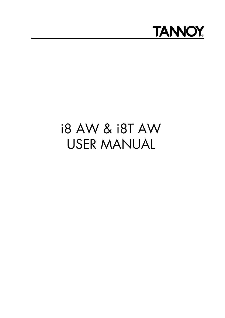

# **18 AW & 18T AW USER MANUAL**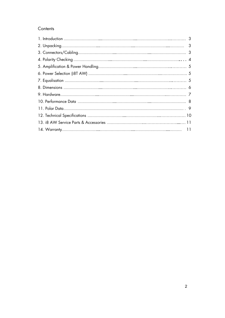### Contents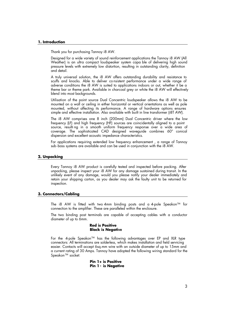#### **1. Introduction**

Thank you for purchasing Tannoy i8 AW.

Designed for a wide variety of sound reinforcement applications the Tannoy i8 AW (All Weather) is an ultra compact loudspeaker system capa ble of delivering high sound pressure levels with extremely low distortion, resulting in outstanding clarity, definition and detail.

A truly universal solution, the i8 AW offers outstanding durability and resistance to scuffs and knocks. Able to deliver consistent performance under a wide range of adverse conditions the i8 AW is suited to applications indoors or out, whether it be a theme bar or theme park. Available in charcoal grey or white the i8 AW will effectively blend into most backgrounds.

Utilisation of the point source Dual Concentric loudspeaker allows the i8 AW to be mounted on a wall or ceiling in either horizontal or vertical orientations as well as pole mounted, without affecting its performance. A range of hardware options ensures simple and effective installation. Also available with built in line transformer (i8T AW).

The i8 AW comprises one 8 inch (200mm) Dual Concentric driver where the low frequency (LF) and high frequency (HF) sources are coincidentally aligned to a point source, resulti ng in a smooth uniform frequency response over a wide area of coverage. The sophisticated CAD designed waveguide combines 60° conical dispersion and excellent acoustic impedance characteristics.

For applications requiring extended low frequency enhancement , a range of Tannoy sub - bass systems are available and can be used in conjunction with the i8 AW.

#### **2. Unpacking**

Every Tannoy i8 AW product is carefully tested and inspected before packing. After unpacking, please inspect your i8 AW for any damage sustained during transit. In the unlikely event of any damage, would you please notify your dealer immediately and retain your shipping carton, as you dealer may ask the faulty unit to be returned for inspection.

#### **3. Connectors/Cabling**

The i8 AW is fitted with two 4mm binding posts and a 4-pole Speakon<sup>TM</sup> for connection to the amplifier. These are paralleled within the enclosure.

The two binding post terminals are capable of accepting cables with a conductor diameter of up to 6mm.

#### **Red is Positive Black is Negative**

For the 4-pole Speakon<sup>TM</sup> has the following advantages over EP and XLR type connectors: All terminations are solderless, which makes installation and field servicing easier. Contacts will accept 6sq.mm wire with an outside diameter of up to 15mm and a current rating of 30 Amps. Tannoy have adopted the following wiring standard for the Speakon™ socket:

> **Pin 1+ is Positive Pin 1 - is Negative**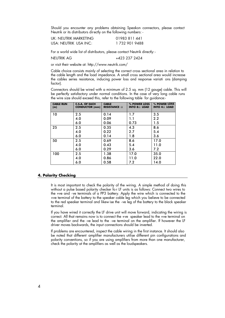Should you encounter any problems obtaining Speakon connectors, please contact Neutrik or its distributors directly on the following numbers: -

| UK: NEUTRIK MARKETING | 01983 811 441  |
|-----------------------|----------------|
| USA: NEUTRIK USA INC: | 1 732 901 9488 |

For a world wide list of distributors, please contact Neutrik directly: -

NEUTRIK AG +423 237 2424

or visit their website at: http://www.neutrik.com/

Cable choice consists mainly of selecting the correct cross sectional area in relation to the cable length and the load impedance. A small cross sectional area would increase the cables series resistance, inducing power loss and response variati ons (damping factor).

Connectors should be wired with a minimum of 2.5 sq. mm (12 gauge) cable. This will be perfectly satisfactory under normal conditions. In the case of very long cable runs the wire size should exceed this, refer to the following table for guidance:-

| <b>CABLE RUN</b><br>(m) | <b>C.S.A. OF EACH</b><br><b>CONDUCTOR (mm)</b> | <b>CABLE</b><br><b>RESISTANCE <math>\Omega</math></b> | % POWER LOSS<br><b>INTO 8<math>\Omega</math> LOAD</b> | % POWER LOSS<br><b>INTO 4<math>\Omega</math> LOAD</b> |
|-------------------------|------------------------------------------------|-------------------------------------------------------|-------------------------------------------------------|-------------------------------------------------------|
| 10                      | 2.5                                            | 0.14                                                  | 1.7                                                   | 3.5                                                   |
|                         | 4.0                                            | 0.09                                                  | 1.1                                                   | 2.2                                                   |
|                         | 6.0                                            | 0.06                                                  | 0.73                                                  | 1.5                                                   |
| 25                      | 2.5                                            | 0.35                                                  | 4.3                                                   | 8.6                                                   |
|                         | 4.0                                            | 0.22                                                  | 2.7                                                   | 5.4                                                   |
|                         | 6.0                                            | 0.14                                                  | 1.8                                                   | 3.6                                                   |
| 50                      | 2.5                                            | 0.69                                                  | 8.6                                                   | 17.0                                                  |
|                         | 4.0                                            | 0.43                                                  | 5.4                                                   | 11.0                                                  |
|                         | 6.0                                            | 0.29                                                  | 3.6                                                   | 7.2                                                   |
| 100                     | 2.5                                            | 1.38                                                  | 17.0                                                  | 35.0                                                  |
|                         | 4.0                                            | 0.86                                                  | 11.0                                                  | 22.0                                                  |
|                         | 6.0                                            | 0.58                                                  | 7.2                                                   | 14.0                                                  |

#### **4. Polarity Checking**

It is most important to check the polarity of the wiring. A simple method of doing this without a pulse based polarity checker fo r LF units is as follows: Connect two wires to the +ve and -ve terminals of a PP3 battery. Apply the wire which is connected to the +ve terminal of the battery to the speaker cable leg which you believe to be connected to the red speaker terminal and likew ise the - ve leg of the battery to the black speaker terminal.

If you have wired it correctly the LF drive unit will move forward, indicating the wiring is correct. All that remains now is to connect the +ve speaker lead to the +ve terminal on the amplifier and the -ve lead to the -ve terminal on the amplifier. If however the LF driver moves backwards, the input connections should be inverted.

If problems are encountered, inspect the cable wiring in the first instance. It should also be noted that different amplifier manufacturers utilise different pin configurations and polarity conventions, so if you are using amplifiers from more than one manufacturer, check the polarity at the amplifiers as well as the loudspeakers.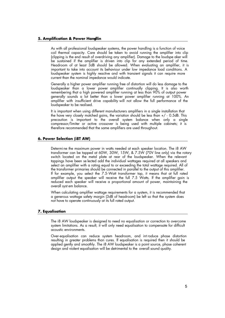#### **5. Amplification & Power Hanglin**

As with all professional loudspeaker systems, the power handling is a function of voice coil thermal capacity. Care should be taken to avoid running the amplifier into clip (clipping is the end result of overdriving any amplifier). Damage to the loudspe aker will be sustained if the amplifier is driven into clip for any extended period of time. Headroom of at least 3dB should be allowed. When evaluating an amplifier, it is important to take into account its behaviour under low impedance load conditions. A loudspeaker system is highly reactive and with transient signals it can require more current than the nominal impedance would indicate.

Generally a higher power amplifier running free of distortion will do less damage to the loudspeaker than a lower power amplifier continually clipping. It is also worth remembering that a high powered amplifier running at less than 90% of output power generally sounds a lot better than a lower power amplifier running at 100%. An amplifier with insufficient drive capability will not allow the full performance of the loudspeaker to be realised.

It is important when using different manufacturers amplifiers in a single installation that the have very closely matched gains, the variation should be less than +/ - 0.5dB. This precaution is important to the overall system balance when only a single compressor/limiter or active crossover is being used with multiple cabinets; it is therefore recommended that the same amplifiers are used throughout.

#### **6. Power Selection (i8T AW)**

Determi ne the maximum power in watts needed at each speaker location. The i8 AW transformer can be tapped at 60W, 30W, 15W, & 7.5W (70V line only) via the rotary switch located on the metal plate at rear of the loudspeaker. When the relevant tappings have been se lected add the individual wattages required at all speakers and select an amplifier with a rating equal to or exceeding the total wattage required. All of the transformer primaries should be connected in parallel to the output of this amplifier. If for example, you select the 7.5-Watt transformer tap, it means that at full rated amplifier output the speaker will receive the full 7.5 Watts. If the amplifier gain is reduced each speaker will receive a proportional amount of power, maintaining the overall syst em balance.

When calculating amplifier wattage requirements for a system, it is recommended that a generous wattage safety margin (3dB of headroom) be left so that the system does not have to operate continuously at its full rated output.

#### **7. Equalisation**

The i8 AW loudspeaker is designed to need no equalisation or correction to overcome system limitations. As a result, it will only need equalisation to compensate for difficult acoustic environments.

Over- equalisation can reduce system headroom, and int roduce phase distortion resulting in greater problems than cures. If equalisation is required then it should be applied gently and smoothly. The i8 AW loudspeaker is a point source, phase coherent design and violent equalisation will be detrimental to the overall sound quality.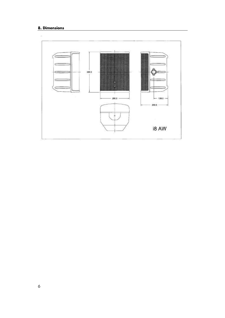### **8. Dimensions**

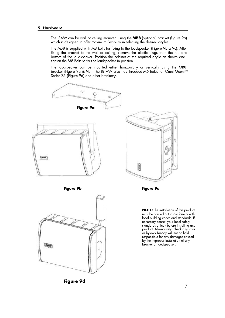#### **9. Hardware**

The i8AW can be wall or ceiling mounted using the **MB8** (optional) bracket (Figure 9a) which is designed to offer maximum flexibility in selecting the desired angles.

The MB8 is supplied with M8 bolts for fixing to the loudspeaker (Figure 9b.& 9c). After fixing the bracket to the wall or ceiling, remove the plastic plugs from the top and bottom of the loudspeaker. Position the cabinet at the required angle as shown and tighten the M8 Bolts to fix t he loudspeaker in position.

The loudspeaker can be mounted either horizontally or vertically using the MB8 bracket (Figure 9a & 9b). The i8 AW also has threaded M6 holes for Omni-Mount™ Series 75 (Figure 9d) and other bracketry.







**Figure 9d**



**NOTE:** The installation of this product must be carried out in conformity with local building codes and standards. If necessary consult your local safety standards office r before installing any product. Alternatively, check any laws or bylaws.Tannoy will not be held responsible for any damages caused by the improper installation of any bracket or loudspeaker.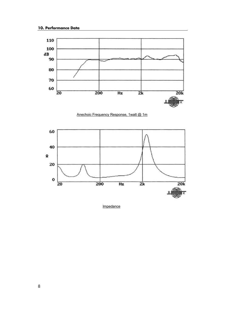

Anechoic Frequency Response, 1watt @ 1m



**Impedance**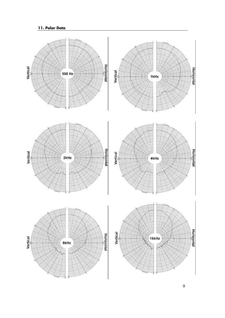

9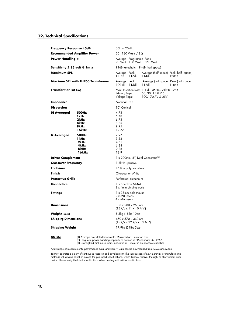| Frequency Response ±3dB (1)                   |                                                 | $65$ Hz - $20$ kHz                                                                                                     |  |  |
|-----------------------------------------------|-------------------------------------------------|------------------------------------------------------------------------------------------------------------------------|--|--|
| Recommended Amplifier Power                   |                                                 | 20 - 180 Watts / $8\Omega$                                                                                             |  |  |
| Power Handling (2)                            |                                                 | Average Programme Peak<br>90 Watt 180 Watt 360 Watt                                                                    |  |  |
| Sensitivity 2.83 volt @ 1 m $\left( 3\right)$ |                                                 | 91dB (anechoic) 94dB (half space)                                                                                      |  |  |
| Maximum SPL                                   |                                                 | Average Peak<br>Average (half-space) Peak (half-space)<br>111dB<br>117dB<br>120dB<br>114dB                             |  |  |
|                                               | Maximm SPL with THP60 Transformer               | Average Peak<br>Average (half space) Peak (half space)<br>109 dB<br>115dB<br>112dB<br>118dB                            |  |  |
| Transformer (i8T AW)                          |                                                 | Max. Insertion loss: 1.1 dB 35Hz-21kHz ±2dB<br>Primary Taps:<br>60, 30, 15 & 7.5<br>100V, 70.7V & 25V<br>Voltage Taps: |  |  |
| Impedance                                     |                                                 | Nominal $8\Omega$                                                                                                      |  |  |
| <b>Dispersion</b>                             |                                                 | 90° Conical                                                                                                            |  |  |
| DI Averaged                                   | 500Hz<br>1 kHz<br>2kHz<br>4kHz<br>8kHz<br>16kHz | 4.73<br>5.48<br>6.73<br>8.35<br>9.95<br>12.77                                                                          |  |  |
| Q Averaged                                    | 500Hz<br>1 kHz<br>2kHz<br>4kHz<br>8kHz<br>16kHz | 2.97<br>3.53<br>4.71<br>6.84<br>9.88<br>18.9                                                                           |  |  |
| <b>Driver Complement</b>                      |                                                 | 1 x 200mm (8") Dual Concentric™                                                                                        |  |  |
| <b>Crossover Frequency</b>                    |                                                 | 1.3kHz - passive                                                                                                       |  |  |
| <b>Enclosure</b>                              |                                                 | 16 litre polypropylene                                                                                                 |  |  |
| Finish                                        |                                                 | Charcoal or White                                                                                                      |  |  |
| <b>Protective Grille</b>                      |                                                 | Perforated aluminium                                                                                                   |  |  |
| Connectors                                    |                                                 | 1 x Speakon NL4MP<br>2 x 4mm binding posts                                                                             |  |  |
| <b>Fittings</b>                               |                                                 | $1 \times 35$ mm pole mount<br>$2 \times M8$ inserts<br>$4 \times M6$ inserts                                          |  |  |
| <b>Dimensions</b>                             |                                                 | 388 x 280 x 260mm<br>$(153/8 \times 11 \times 101/4u)$                                                                 |  |  |
| Weight (each)                                 |                                                 | 8.5kg (18lbs 10oz)                                                                                                     |  |  |
| <b>Shippirg Dimensions</b>                    |                                                 | 450 x 570 x 340mm<br>$(153/8 \times 223/8 \times 133/8")$                                                              |  |  |
| Shipping Weight                               |                                                 | 17.9kg (39lbs 5oz)                                                                                                     |  |  |
|                                               |                                                 |                                                                                                                        |  |  |

**NOTES:** (1) Average over stated bandwidth. Measured at 1 meter on axis. (2) Long term power handling capacity as defined in EIA standard RS - 426A. (3) Unweighted pink noise input, measured at 1 meter in an anechoic chamber

A full range of measurements, performance data, and Ease™ Data can be downloaded from www.tannoy.com

Tannoy operates a policy of continuous research and development. The introduction of new materials or manufacturing methods will always equal or exceed the published specifications, which Tannoy reserves the right to alter without prior notice. Please verify the latest specifications when dealing with critical applications.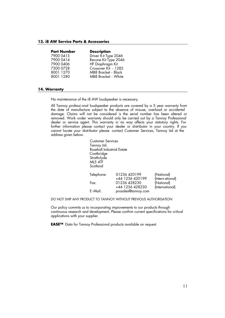#### **13. i8 AW Service Parts & Accessories**

| <b>Part Number</b> | <b>Description</b>   |
|--------------------|----------------------|
| 7900 0413          | Driver Kit Type 2046 |
| 7900 0414          | Recone Kit Type 2046 |
| 7900 0406          | HF Diaphragm Kit     |
| 7300 0728          | Crossover Kit - 1282 |
| 8001 1270          | MB8 Bracket - Black  |
| 8001 1280          | MB8 Bracket - White  |

#### **14. Warranty**

No maintenance of the i8 AW loudspeaker is necessary.

All Tannoy professi onal loudspeaker products are covered by a 5 year warranty from the date of manufacture subject to the absence of misuse, overload or accidental damage. Claims will not be considered is the serial number has been altered or removed. Work under warranty should only be carried out by a Tannoy Professional dealer or service agent. This warranty in no way affects your statutory rights. For further information please contact your dealer or distributor in your country. If you cannot locate your distributor please contact Customer Services, Tannoy Ltd at the address given below.

| <b>Customer Services</b><br>Tannoy Ltd.<br>Rosehall Industrial Estate<br>Coatbridge<br>Strathclyde<br><b>ML5 4TF</b><br>Scotland |                                                    |                                                   |
|----------------------------------------------------------------------------------------------------------------------------------|----------------------------------------------------|---------------------------------------------------|
| Telephone:                                                                                                                       | 01236 420199                                       | (National)                                        |
| Fax:                                                                                                                             | +44 1236 420199<br>01236 428230<br>+44 1236 428230 | (Intern ational)<br>(National)<br>(International) |
| E-Mail:                                                                                                                          | prosales@tannoy.com                                |                                                   |

DO NOT SHIP ANY PRODUCT TO TANNOY WITHOUT PREVIOUS AUTHORISATION

Our policy commits us to incorporating improvements to our products through continuous research and development. Please confirm current specifications for critical applications with your supplier.

**EASETM** Data for Tannoy Professional products available on request.